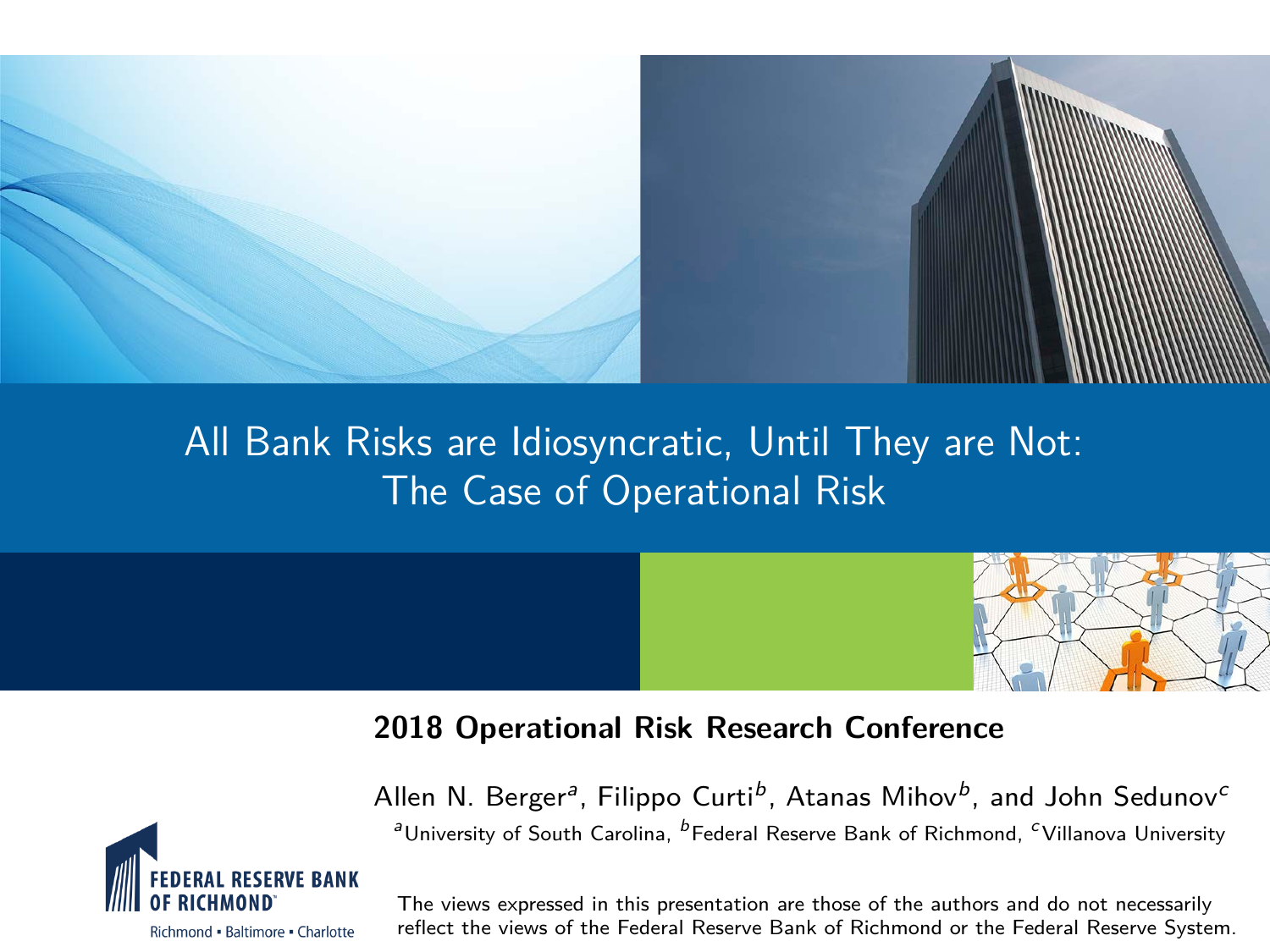

### All Bank Risks are Idiosyncratic, Until They are Not: The Case of Operational Risk



#### **2018 Operational Risk Research Conference**



Allen N. Berger<sup>a</sup>, Filippo Curti<sup>b</sup>, Atanas Mihov<sup>b</sup>, and John Sedunov<sup>c</sup> <sup>a</sup>University of South Carolina, <sup>b</sup>Federal Reserve Bank of Richmond, <sup>c</sup> Villanova University

The views expressed in this presentation are those of the authors and do not necessarily reflect the views of the Federal Reserve Bank of Richmond or the Federal Reserve System.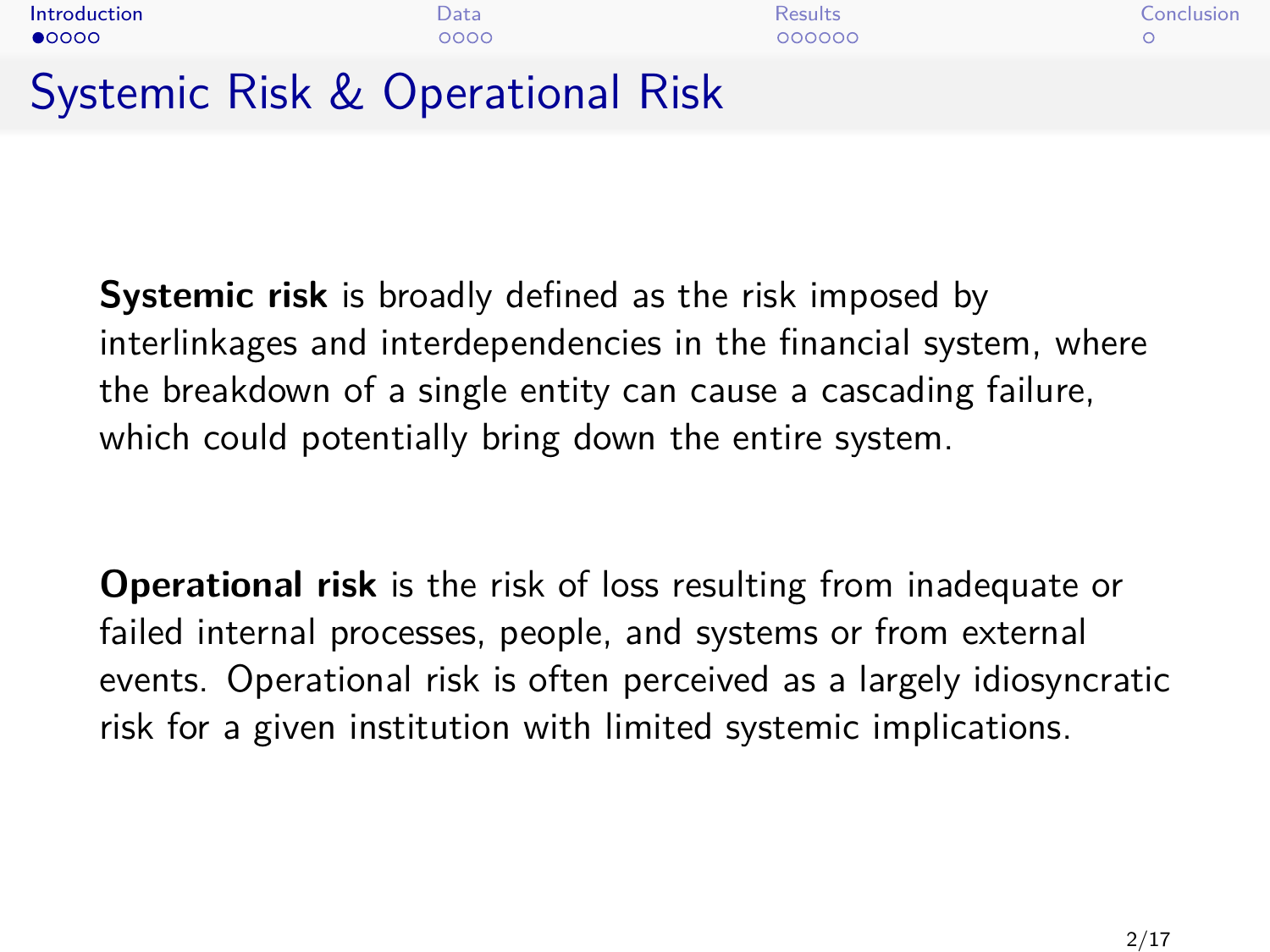<span id="page-1-0"></span>

| Introduction                     | Data | <b>Results</b> | Conclusion |
|----------------------------------|------|----------------|------------|
| $\bullet$ 0000                   | 0000 | 000000         |            |
| Systemic Risk & Operational Risk |      |                |            |

**Systemic risk** is broadly defined as the risk imposed by interlinkages and interdependencies in the financial system, where the breakdown of a single entity can cause a cascading failure, which could potentially bring down the entire system.

**Operational risk** is the risk of loss resulting from inadequate or failed internal processes, people, and systems or from external events. Operational risk is often perceived as a largely idiosyncratic risk for a given institution with limited systemic implications.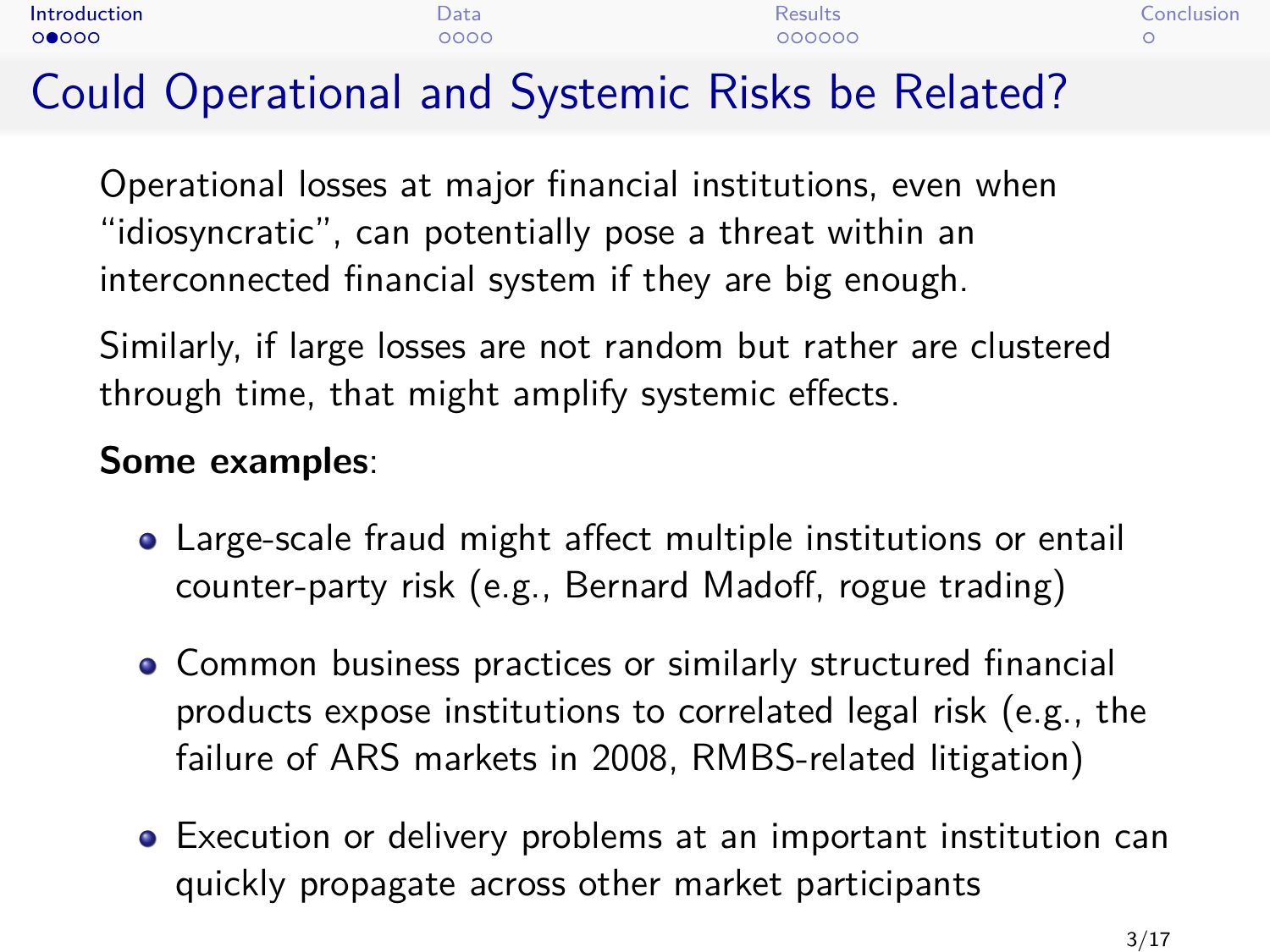| Introduction | $\mathcal{Q}$ ata | Results: | Conclusion |
|--------------|-------------------|----------|------------|
| 00000        | 2000              | 000000   |            |

# Could Operational and Systemic Risks be Related?

Operational losses at major financial institutions, even when "idiosyncratic", can potentially pose a threat within an interconnected financial system if they are big enough.

Similarly, if large losses are not random but rather are clustered through time, that might amplify systemic effects.

### **Some examples**:

- Large-scale fraud might affect multiple institutions or entail counter-party risk (e.g., Bernard Madoff, rogue trading)
- Common business practices or similarly structured financial products expose institutions to correlated legal risk (e.g., the failure of ARS markets in 2008, RMBS-related litigation)
- Execution or delivery problems at an important institution can quickly propagate across other market participants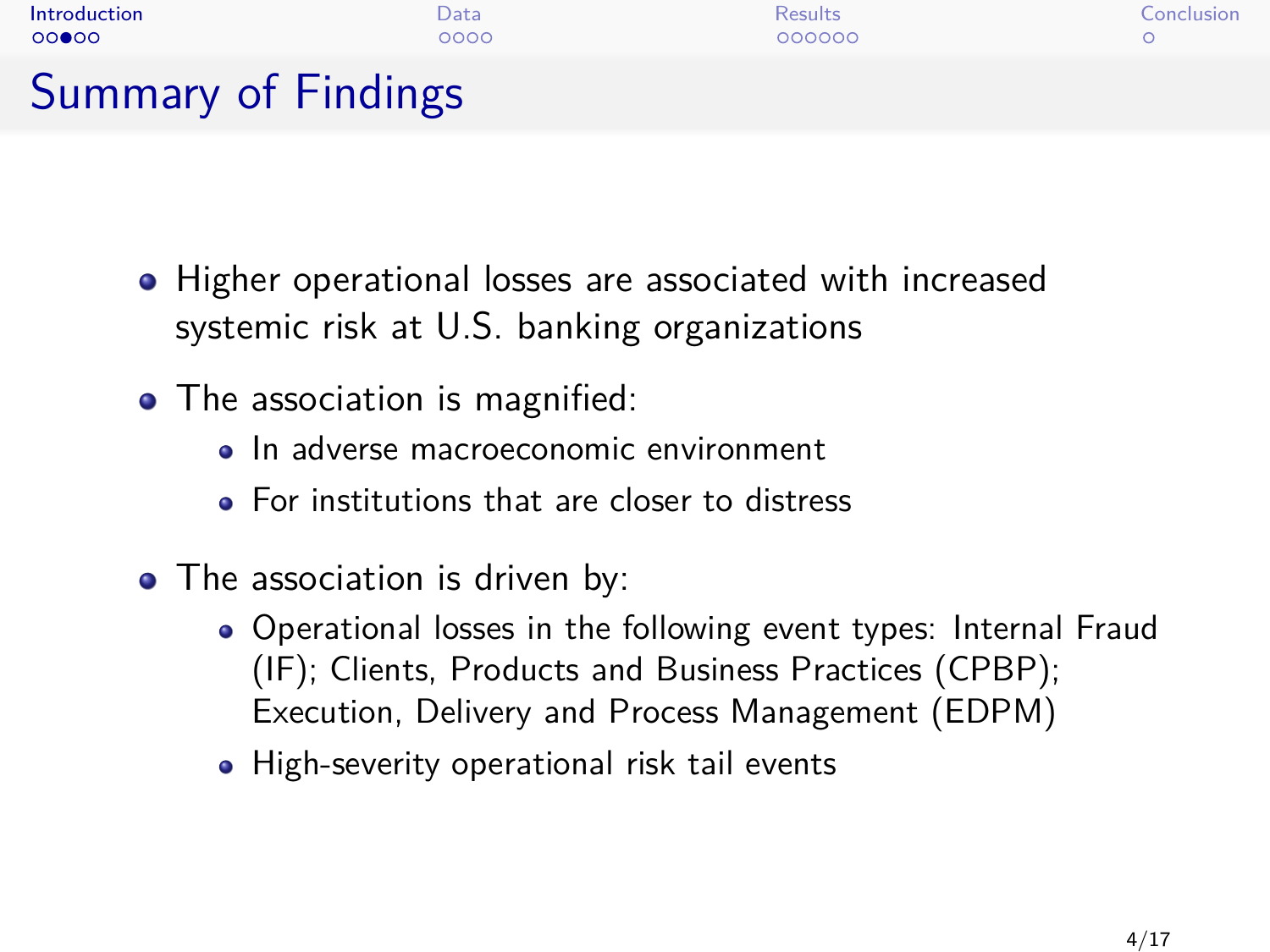

- Higher operational losses are associated with increased systemic risk at U.S. banking organizations
- The association is magnified:
	- · In adverse macroeconomic environment
	- For institutions that are closer to distress
- The association is driven by:
	- Operational losses in the following event types: Internal Fraud (IF); Clients, Products and Business Practices (CPBP); Execution, Delivery and Process Management (EDPM)
	- High-severity operational risk tail events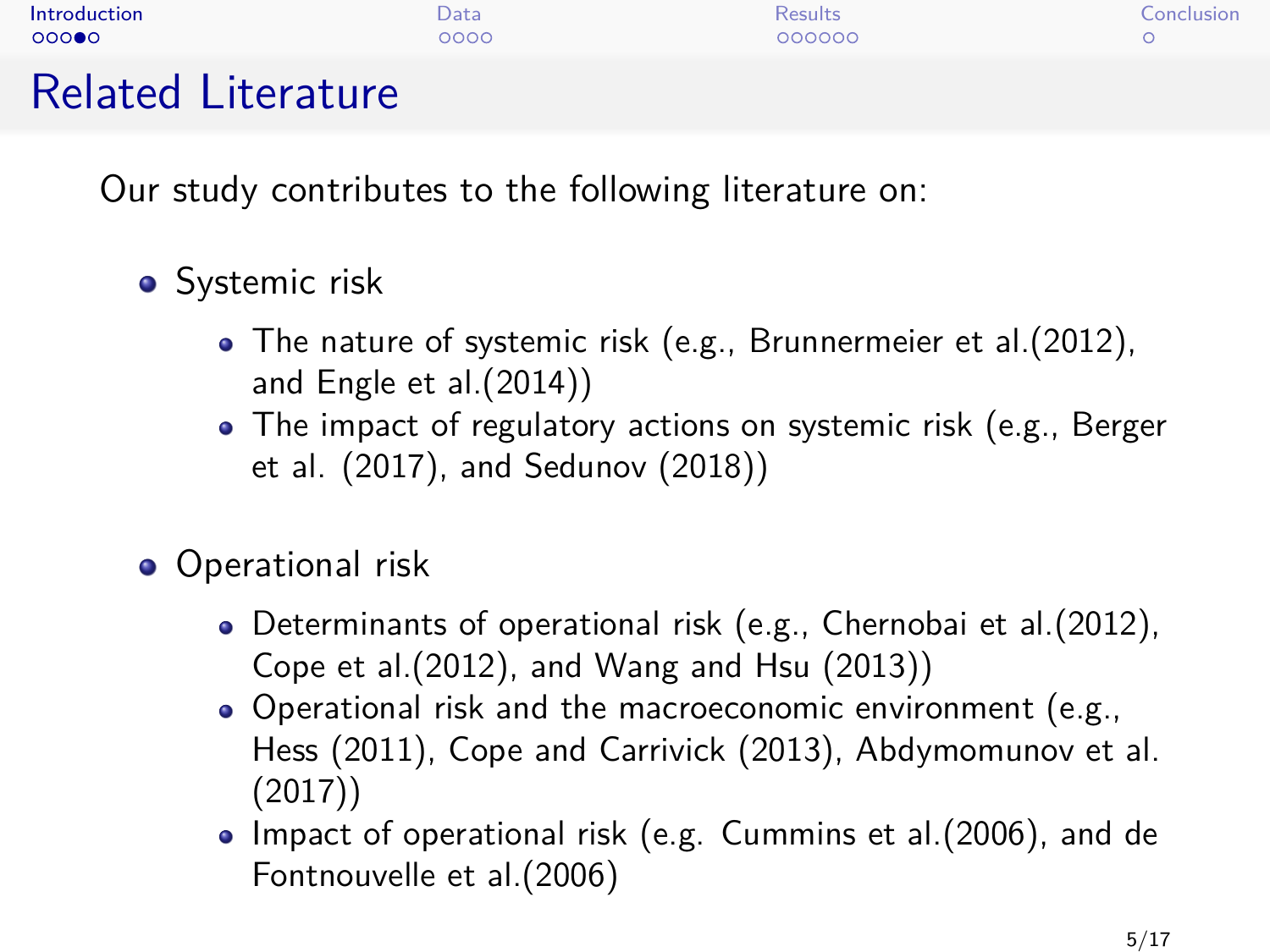| Introduction  | Data | Results | Conclusion |
|---------------|------|---------|------------|
| 00000         | 0000 | 000000  |            |
| ni iliyo kata |      |         |            |

## Related Literature

Our study contributes to the following literature on:

- **•** Systemic risk
	- The nature of systemic risk (e.g., Brunnermeier et al.(2012), and Engle et al.(2014))
	- The impact of regulatory actions on systemic risk (e.g., Berger et al. (2017), and Sedunov (2018))
- **•** Operational risk
	- Determinants of operational risk (e.g., Chernobai et al.(2012), Cope et al.(2012), and Wang and Hsu (2013))
	- Operational risk and the macroeconomic environment (e.g., Hess (2011), Cope and Carrivick (2013), Abdymomunov et al. (2017))
	- Impact of operational risk (e.g. Cummins et al.(2006), and de Fontnouvelle et al.(2006)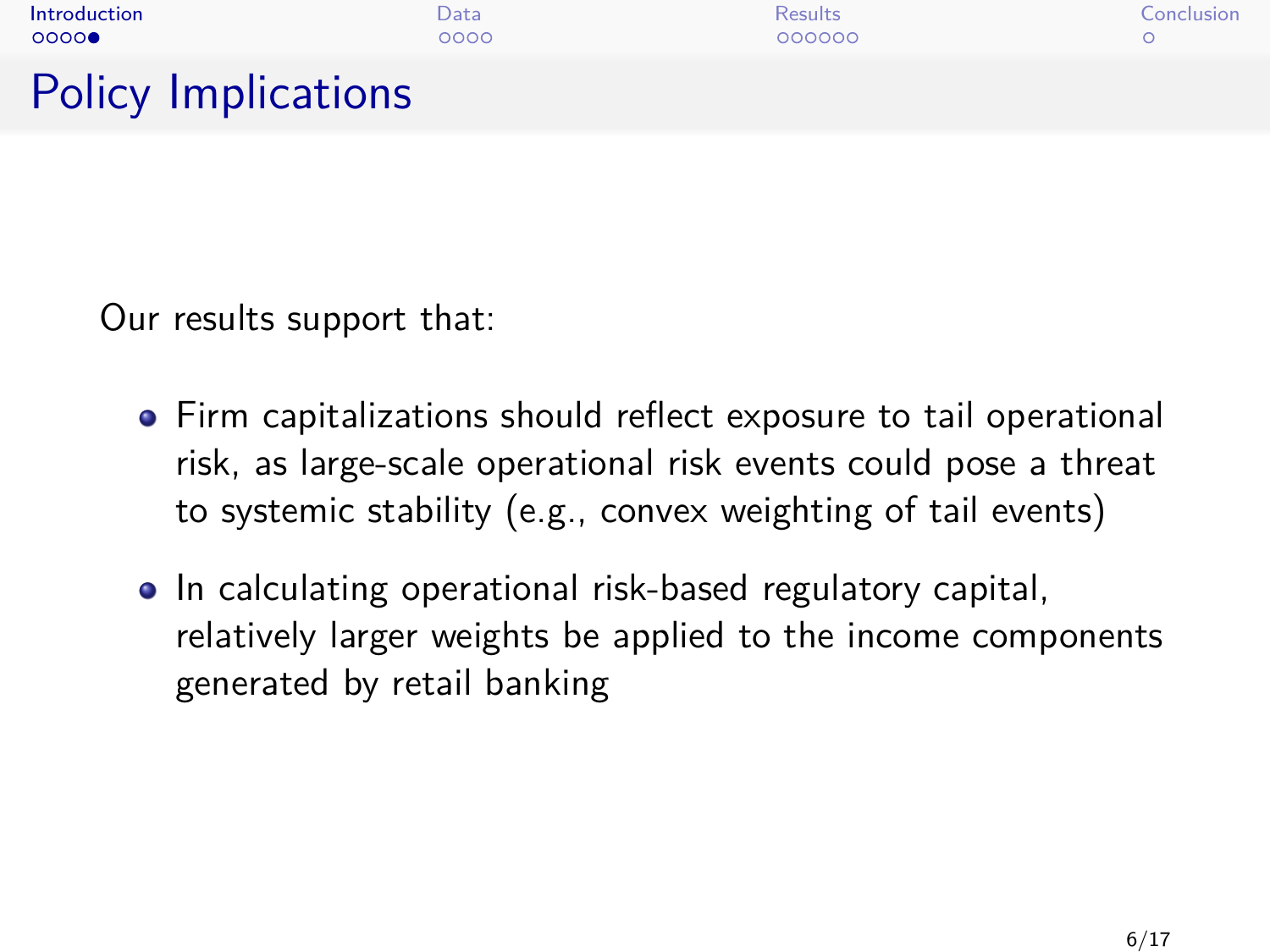| Introduction               | Data | <b>Results</b> | Conclusion |
|----------------------------|------|----------------|------------|
| 0000                       | 0000 | 000000         |            |
| <b>Policy Implications</b> |      |                |            |

Our results support that:

- Firm capitalizations should reflect exposure to tail operational risk, as large-scale operational risk events could pose a threat to systemic stability (e.g., convex weighting of tail events)
- In calculating operational risk-based regulatory capital, relatively larger weights be applied to the income components generated by retail banking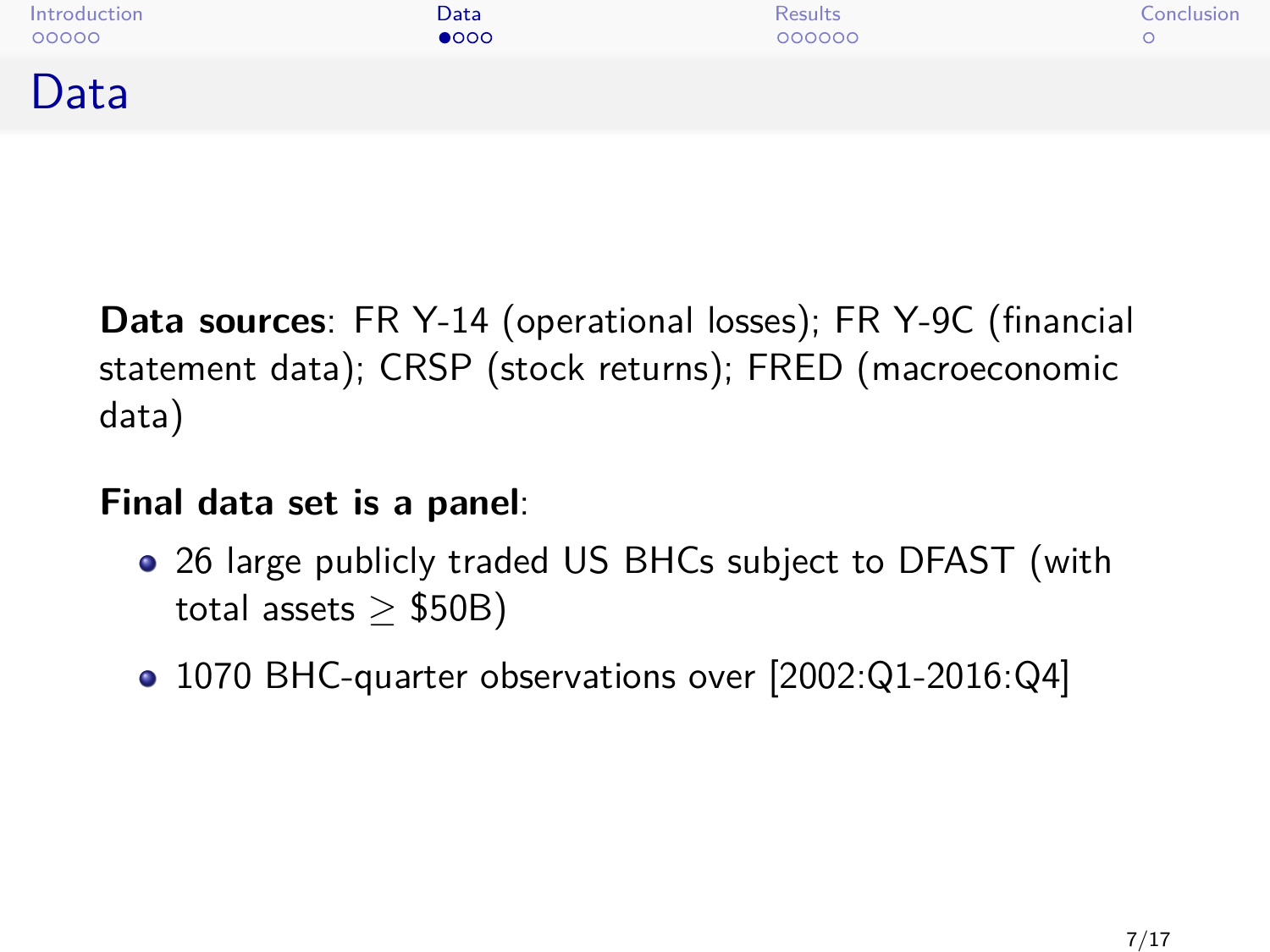<span id="page-6-0"></span>

**Data sources**: FR Y-14 (operational losses); FR Y-9C (financial statement data); CRSP (stock returns); FRED (macroeconomic data)

#### **Final data set is a panel**:

- 26 large publicly traded US BHCs subject to DFAST (with total assets  $\ge$  \$50B)
- 1070 BHC-quarter observations over [2002:Q1-2016:Q4]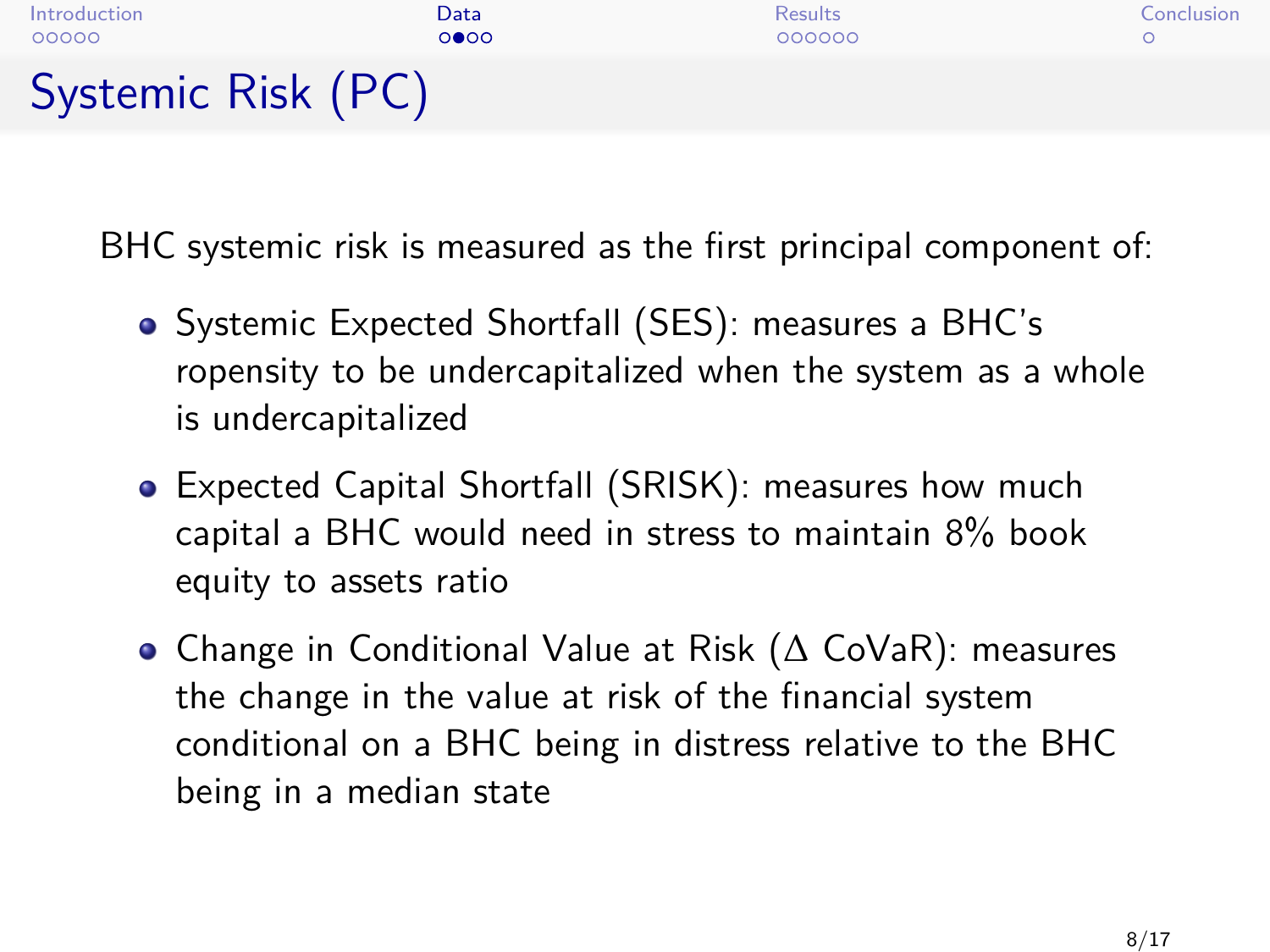

BHC systemic risk is measured as the first principal component of:

- Systemic Expected Shortfall (SES): measures a BHC's ropensity to be undercapitalized when the system as a whole is undercapitalized
- Expected Capital Shortfall (SRISK): measures how much capital a BHC would need in stress to maintain 8% book equity to assets ratio
- Change in Conditional Value at Risk (∆ CoVaR): measures the change in the value at risk of the financial system conditional on a BHC being in distress relative to the BHC being in a median state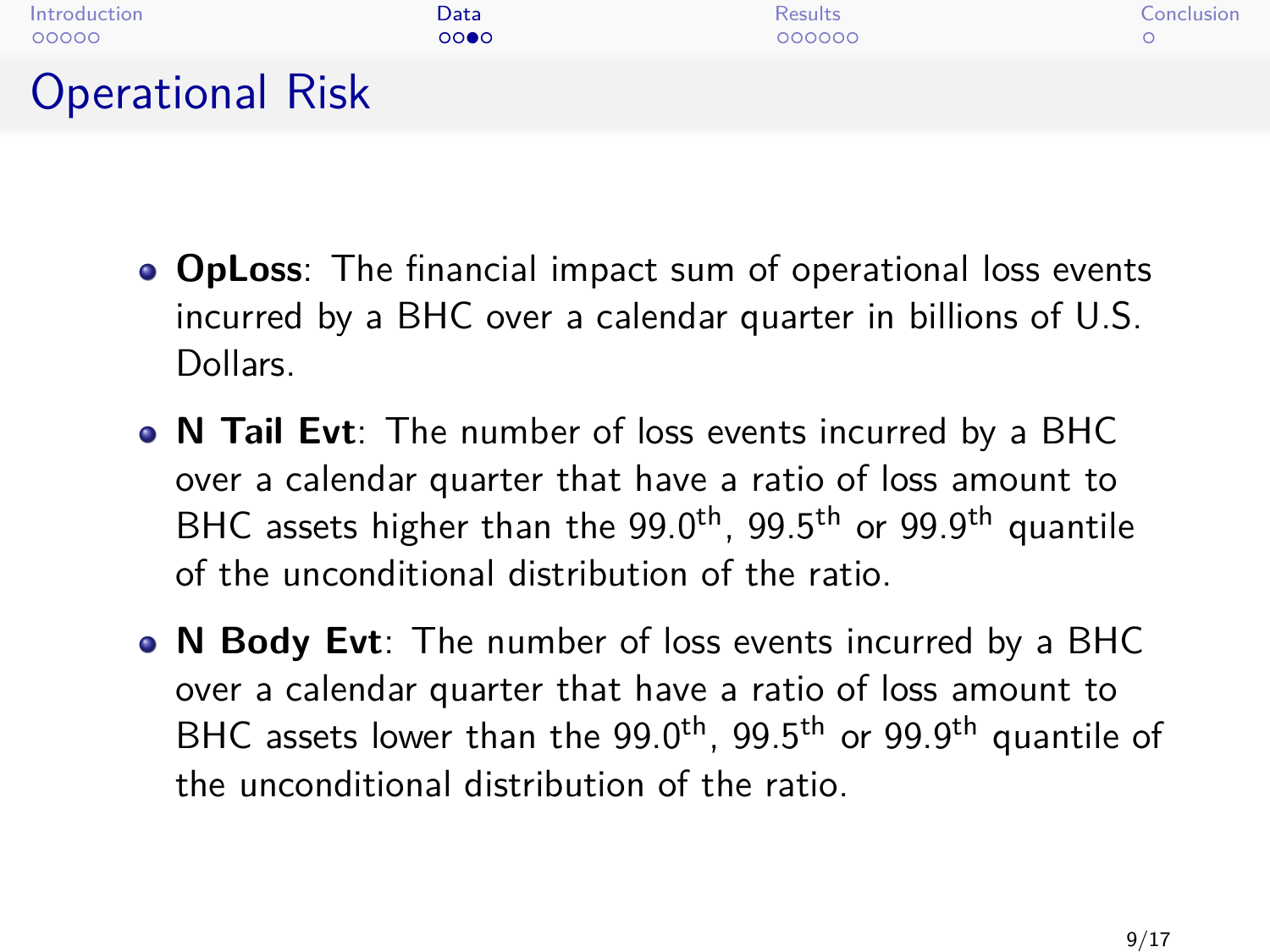| Introduction            | Data | <b>Results</b> | Conclusion |
|-------------------------|------|----------------|------------|
| 00000                   | 0000 | 000000         |            |
| <b>Operational Risk</b> |      |                |            |

- **OpLoss**: The financial impact sum of operational loss events incurred by a BHC over a calendar quarter in billions of U.S. Dollars.
- **N Tail Evt**: The number of loss events incurred by a BHC over a calendar quarter that have a ratio of loss amount to BHC assets higher than the  $99.0<sup>th</sup>$ ,  $99.5<sup>th</sup>$  or  $99.9<sup>th</sup>$  quantile of the unconditional distribution of the ratio.
- **N Body Evt**: The number of loss events incurred by a BHC over a calendar quarter that have a ratio of loss amount to BHC assets lower than the 99.0<sup>th</sup>, 99.5<sup>th</sup> or 99.9<sup>th</sup> quantile of the unconditional distribution of the ratio.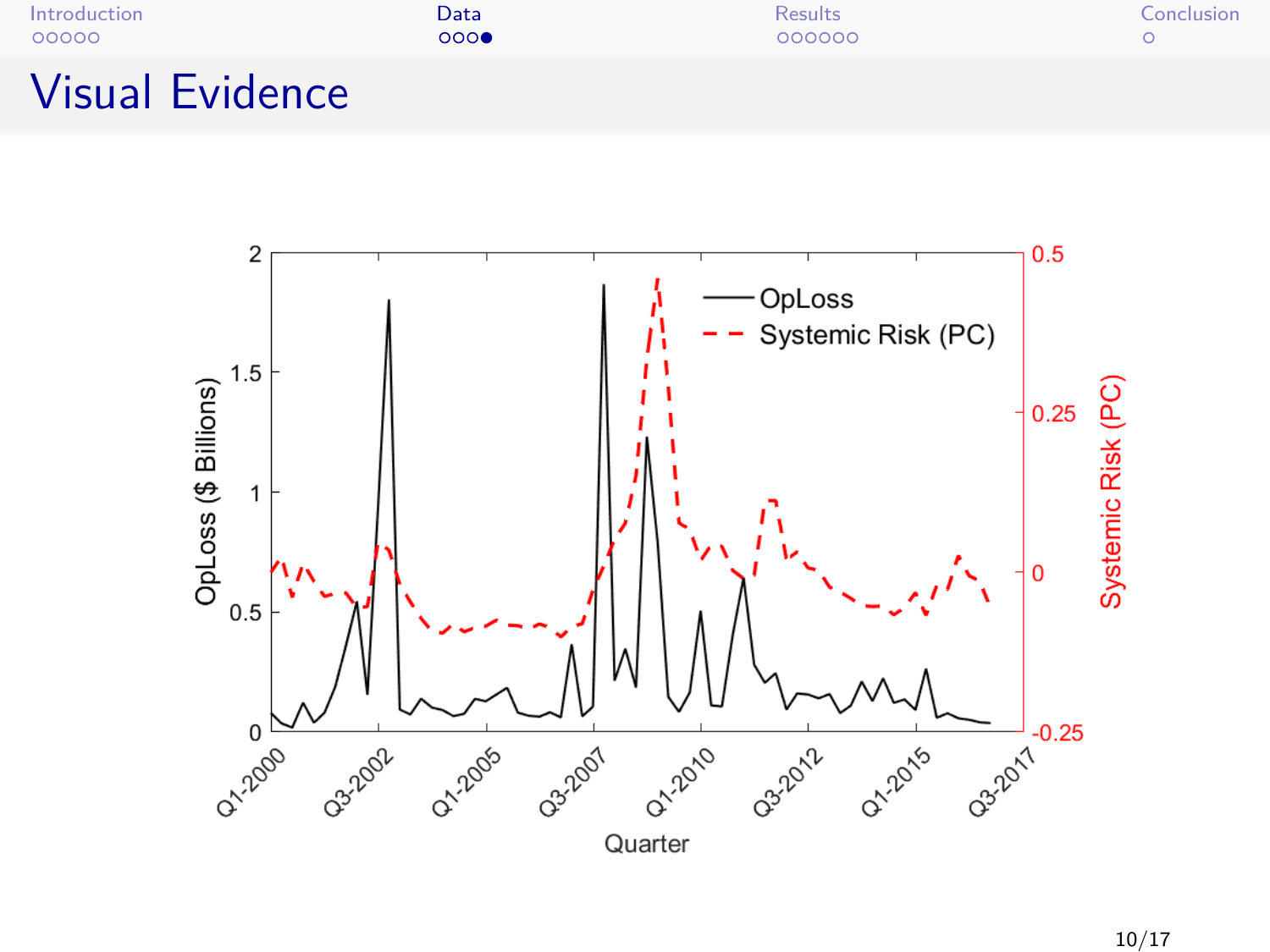| Introduction           | Data | <b>Results</b> | Conclusion |
|------------------------|------|----------------|------------|
| 00000                  | 000  | 000000         |            |
| <b>Visual Evidence</b> |      |                |            |

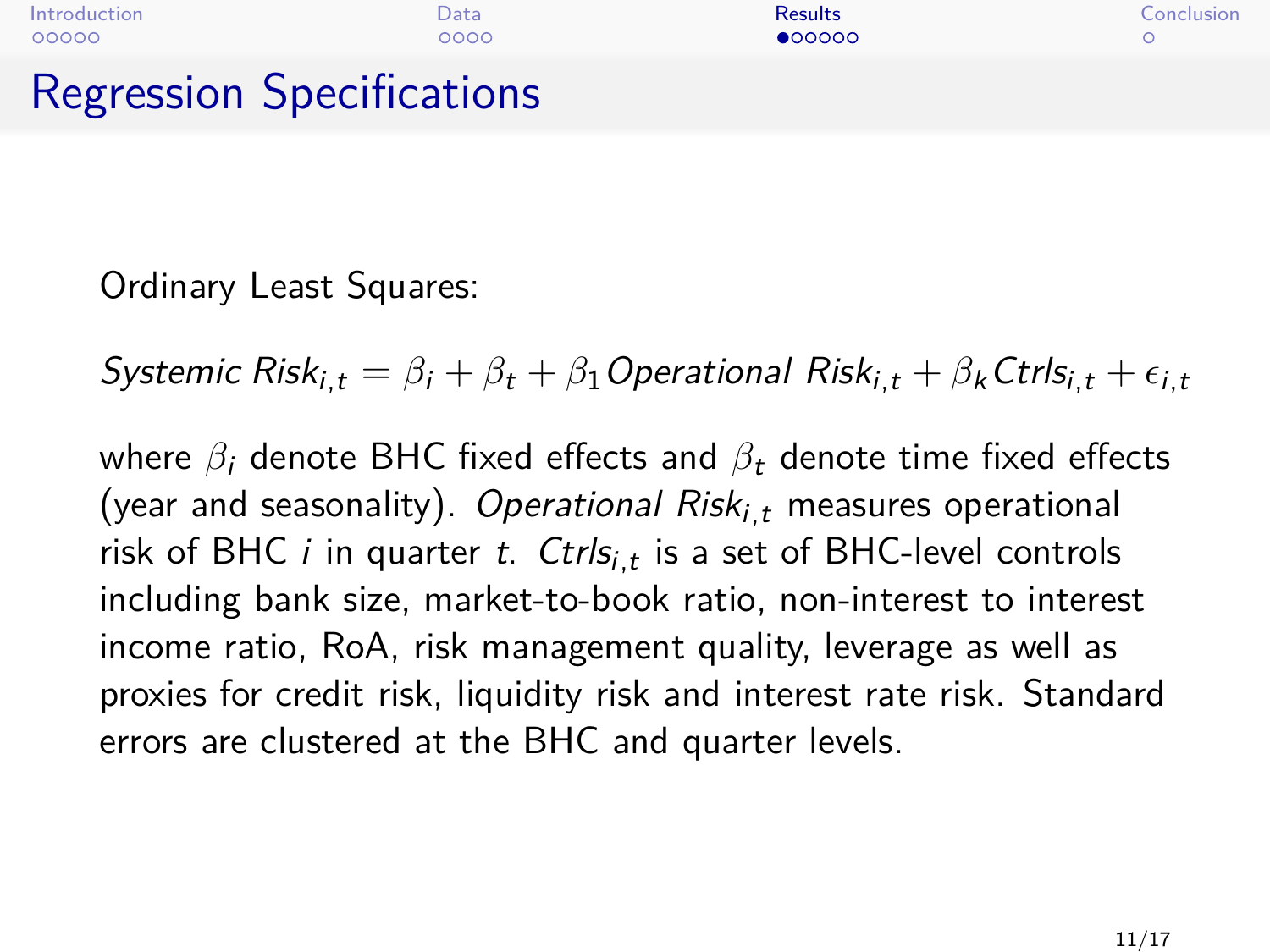<span id="page-10-0"></span>

| Introduction                     | Data | <b>Results</b> | Conclusion |
|----------------------------------|------|----------------|------------|
| 00000                            | 0000 | 000000         |            |
| <b>Regression Specifications</b> |      |                |            |

Ordinary Least Squares:

Systemic Risk<sub>it</sub> =  $\beta_i + \beta_j + \beta_1$  Operational Risk<sub>it</sub> +  $\beta_k$  Ctrls<sub>it</sub> +  $\epsilon_{i,t}$ 

where *β*<sub>i</sub> denote BHC fixed effects and *β*<sub>t</sub> denote time fixed effects (year and seasonality). Operational Risk<sub>i,t</sub> measures operational risk of BHC  $i$  in quarter  $t$ .  $\mathcal{C}\textit{trls}_{i,t}$  is a set of BHC-level controls including bank size, market-to-book ratio, non-interest to interest income ratio, RoA, risk management quality, leverage as well as proxies for credit risk, liquidity risk and interest rate risk. Standard errors are clustered at the BHC and quarter levels.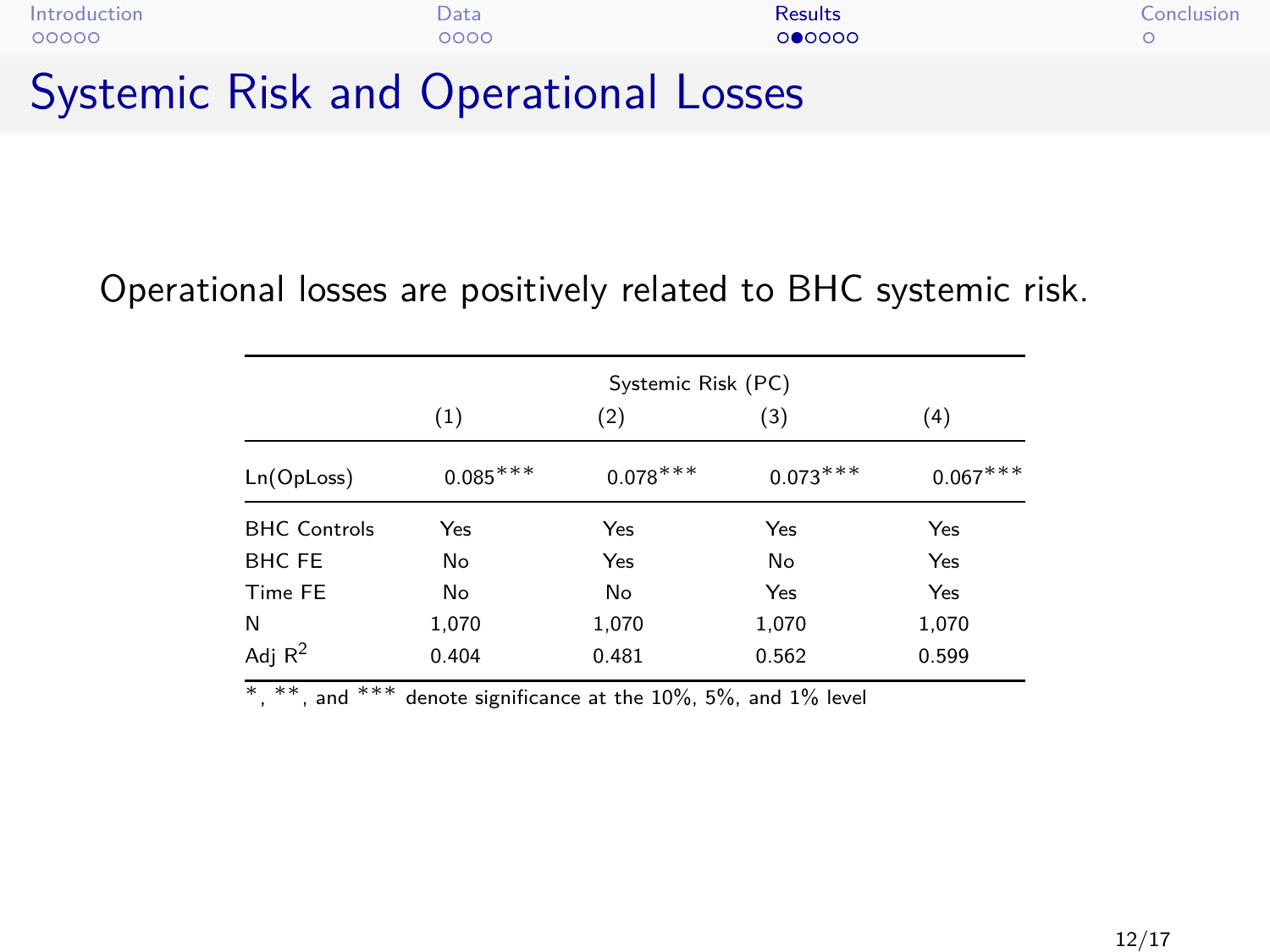| Introduction                         | Data | <b>Results</b> | Conclusion |
|--------------------------------------|------|----------------|------------|
| 00000                                | 0000 | 000000         |            |
| Systemic Risk and Operational Losses |      |                |            |

Operational losses are positively related to BHC systemic risk.

|                     | Systemic Risk (PC) |            |            |            |  |  |
|---------------------|--------------------|------------|------------|------------|--|--|
|                     | (1)                | (2)        | (3)        | (4)        |  |  |
| Ln(OpLoss)          | $0.085***$         | $0.078***$ | $0.073***$ | $0.067***$ |  |  |
| <b>BHC Controls</b> | Yes                | Yes        | Yes        | Yes        |  |  |
| <b>BHC FE</b>       | No                 | Yes        | No         | Yes        |  |  |
| Time FE             | No                 | No         | Yes        | Yes        |  |  |
| N                   | 1,070              | 1,070      | 1,070      | 1,070      |  |  |
| Adj $R^2$           | 0.404              | 0.481      | 0.562      | 0.599      |  |  |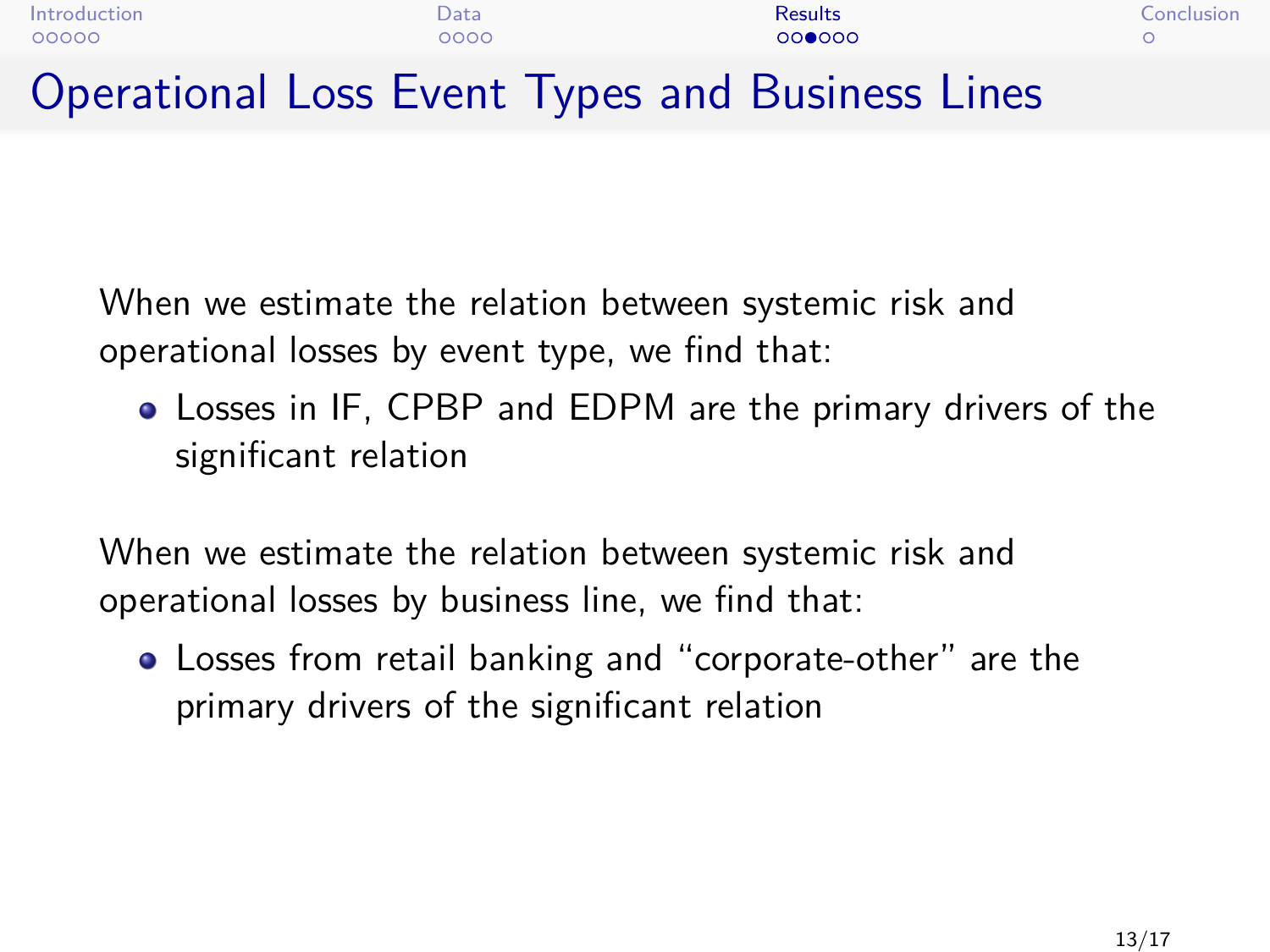| Introduction | Data | <b>Results</b>                                  | Conclusion |
|--------------|------|-------------------------------------------------|------------|
| 00000        | 0000 | 000000                                          |            |
|              |      | Operational Loss Event Types and Business Lines |            |

When we estimate the relation between systemic risk and operational losses by event type, we find that:

Losses in IF, CPBP and EDPM are the primary drivers of the significant relation

When we estimate the relation between systemic risk and operational losses by business line, we find that:

Losses from retail banking and "corporate-other" are the primary drivers of the significant relation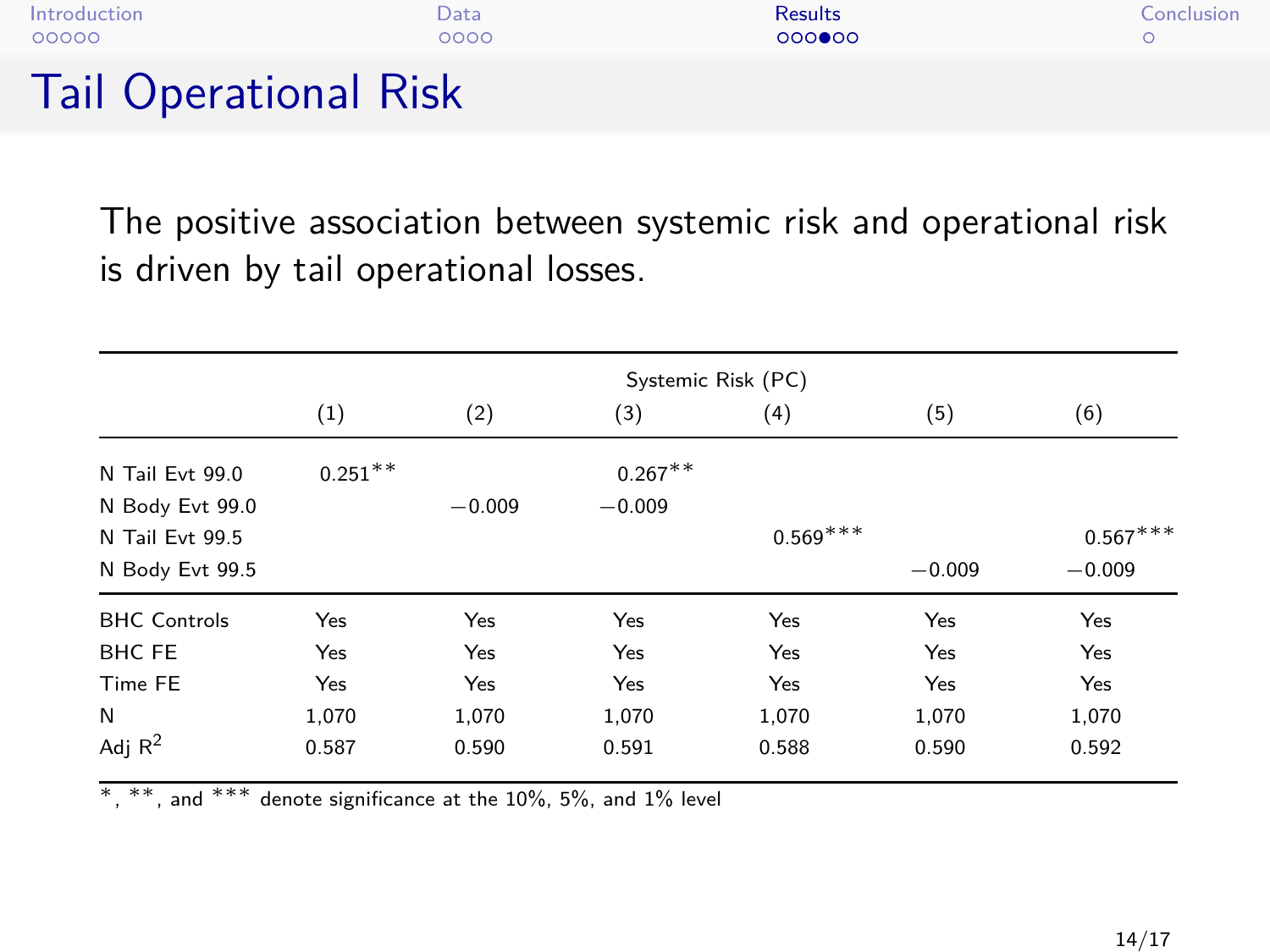| Introduction                 | Data | <b>Results</b> | Conclusion |
|------------------------------|------|----------------|------------|
| 00000                        | 0000 | $000$ $00$     |            |
| <b>Tail Operational Risk</b> |      |                |            |

The positive association between systemic risk and operational risk is driven by tail operational losses.

|                     | Systemic Risk (PC) |          |            |            |          |            |
|---------------------|--------------------|----------|------------|------------|----------|------------|
|                     | (1)                | (2)      | (3)        | (4)        | (5)      | (6)        |
| N Tail Evt 99.0     | $0.251***$         |          | $0.267***$ |            |          |            |
| N Body Evt 99.0     |                    | $-0.009$ | $-0.009$   |            |          |            |
| N Tail Evt 99.5     |                    |          |            | $0.569***$ |          | $0.567***$ |
| N Body Evt 99.5     |                    |          |            |            | $-0.009$ | $-0.009$   |
| <b>BHC</b> Controls | Yes                | Yes      | Yes        | Yes        | Yes      | Yes        |
| <b>BHC FE</b>       | Yes                | Yes      | Yes        | Yes        | Yes      | Yes        |
| Time FE             | Yes                | Yes      | Yes        | Yes        | Yes      | Yes        |
| N                   | 1.070              | 1,070    | 1.070      | 1,070      | 1.070    | 1,070      |
| Adj $R^2$           | 0.587              | 0.590    | 0.591      | 0.588      | 0.590    | 0.592      |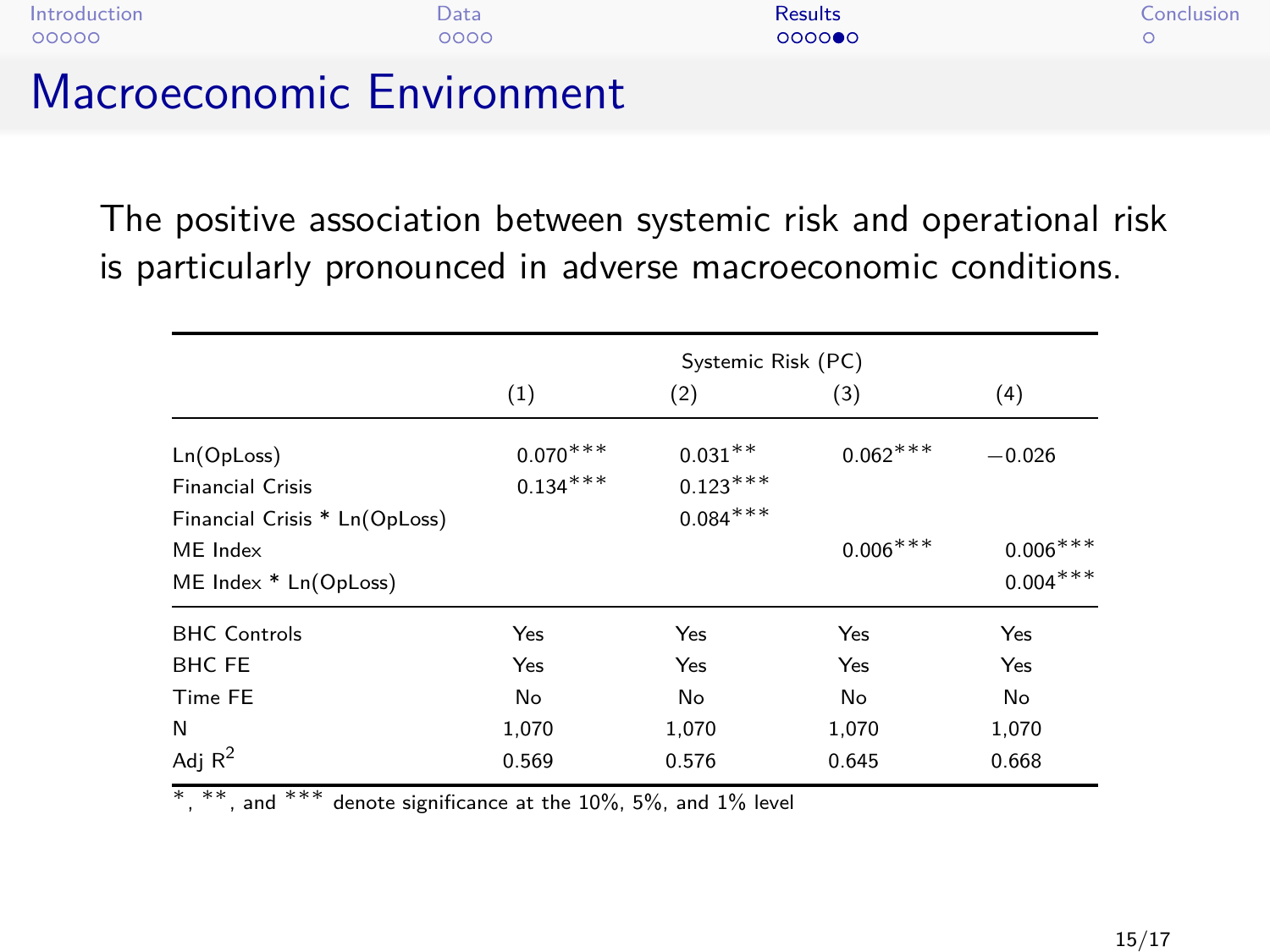| Introduction<br>00000 |                          | Data<br>0000 | <b>Results</b><br>0000000 | Conclusion |
|-----------------------|--------------------------|--------------|---------------------------|------------|
| .                     | <b>Contract Contract</b> |              |                           |            |

### Macroeconomic Environment

The positive association between systemic risk and operational risk is particularly pronounced in adverse macroeconomic conditions.

|                               | Systemic Risk (PC) |            |            |            |
|-------------------------------|--------------------|------------|------------|------------|
|                               | (1)                | (2)        | (3)        | (4)        |
| Ln(OpLoss)                    | $0.070^{***}$      | $0.031***$ | $0.062***$ | $-0.026$   |
| <b>Financial Crisis</b>       | $0.134***$         | $0.123***$ |            |            |
| Financial Crisis * Ln(OpLoss) |                    | $0.084***$ |            |            |
| ME Index                      |                    |            | $0.006***$ | $0.006***$ |
| ME Index * Ln(OpLoss)         |                    |            |            | $0.004***$ |
| <b>BHC Controls</b>           | Yes                | Yes        | Yes        | Yes        |
| <b>BHC FE</b>                 | Yes                | Yes        | Yes        | Yes        |
| Time FE                       | No                 | No         | No         | No         |
| N                             | 1,070              | 1,070      | 1,070      | 1,070      |
| Adj $\mathbb{R}^2$            | 0.569              | 0.576      | 0.645      | 0.668      |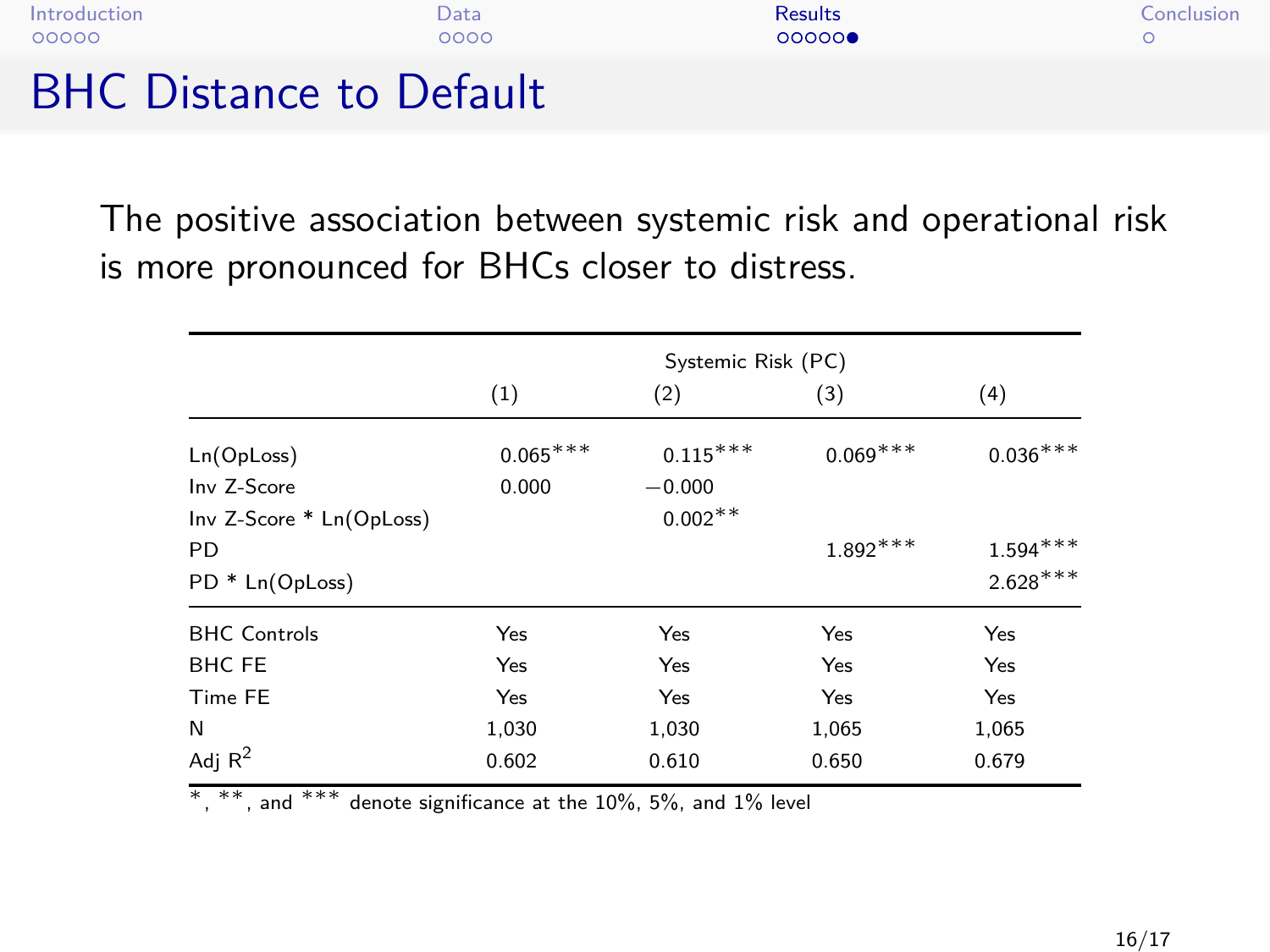| $DHC$ $D_{\text{intra}}$ |      |         |            |
|--------------------------|------|---------|------------|
| 00000                    | ററററ | 00000   |            |
| Introduction             | Data | Results | Conclusion |

BHC Distance to Default

The positive association between systemic risk and operational risk is more pronounced for BHCs closer to distress.

|                          | Systemic Risk (PC) |            |            |            |
|--------------------------|--------------------|------------|------------|------------|
|                          | (1)                | (2)        | (3)        | (4)        |
| Ln(OpLoss)               | $0.065***$         | $0.115***$ | $0.069***$ | $0.036***$ |
| Inv Z-Score              | 0.000              | $-0.000$   |            |            |
| Inv Z-Score * Ln(OpLoss) |                    | $0.002**$  |            |            |
| PD                       |                    |            | $1.892***$ | $1.594***$ |
| PD * Ln(OpLoss)          |                    |            |            | $2.628***$ |
| <b>BHC Controls</b>      | Yes                | Yes        | Yes        | Yes        |
| <b>BHC FE</b>            | Yes                | Yes        | Yes        | Yes        |
| Time FE                  | Yes                | Yes        | Yes        | Yes        |
| N                        | 1,030              | 1,030      | 1,065      | 1,065      |
| Adj $R^2$                | 0.602              | 0.610      | 0.650      | 0.679      |